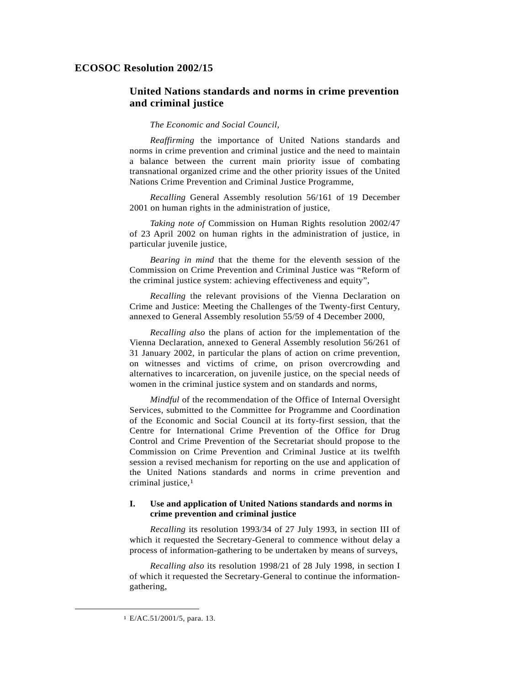## **ECOSOC Resolution 2002/15**

# **United Nations standards and norms in crime prevention and criminal justice**

### *The Economic and Social Council*,

*Reaffirming* the importance of United Nations standards and norms in crime prevention and criminal justice and the need to maintain a balance between the current main priority issue of combating transnational organized crime and the other priority issues of the United Nations Crime Prevention and Criminal Justice Programme,

*Recalling* General Assembly resolution 56/161 of 19 December 2001 on human rights in the administration of justice,

*Taking note of* Commission on Human Rights resolution 2002/47 of 23 April 2002 on human rights in the administration of justice, in particular juvenile justice,

*Bearing in mind* that the theme for the eleventh session of the Commission on Crime Prevention and Criminal Justice was "Reform of the criminal justice system: achieving effectiveness and equity",

*Recalling* the relevant provisions of the Vienna Declaration on Crime and Justice: Meeting the Challenges of the Twenty-first Century, annexed to General Assembly resolution 55/59 of 4 December 2000,

*Recalling also* the plans of action for the implementation of the Vienna Declaration, annexed to General Assembly resolution 56/261 of 31 January 2002, in particular the plans of action on crime prevention, on witnesses and victims of crime, on prison overcrowding and alternatives to incarceration, on juvenile justice, on the special needs of women in the criminal justice system and on standards and norms,

*Mindful* of the recommendation of the Office of Internal Oversight Services, submitted to the Committee for Programme and Coordination of the Economic and Social Council at its forty-first session, that the Centre for International Crime Prevention of the Office for Drug Control and Crime Prevention of the Secretariat should propose to the Commission on Crime Prevention and Criminal Justice at its twelfth session a revised mechanism for reporting on the use and application of the United Nations standards and norms in crime prevention and criminal justice,1

## **I. Use and application of United Nations standards and norms in crime prevention and criminal justice**

*Recalling* its resolution 1993/34 of 27 July 1993, in section III of which it requested the Secretary-General to commence without delay a process of information-gathering to be undertaken by means of surveys,

*Recalling also* its resolution 1998/21 of 28 July 1998, in section I of which it requested the Secretary-General to continue the informationgathering,

 <sup>1</sup> E/AC.51/2001/5, para. 13.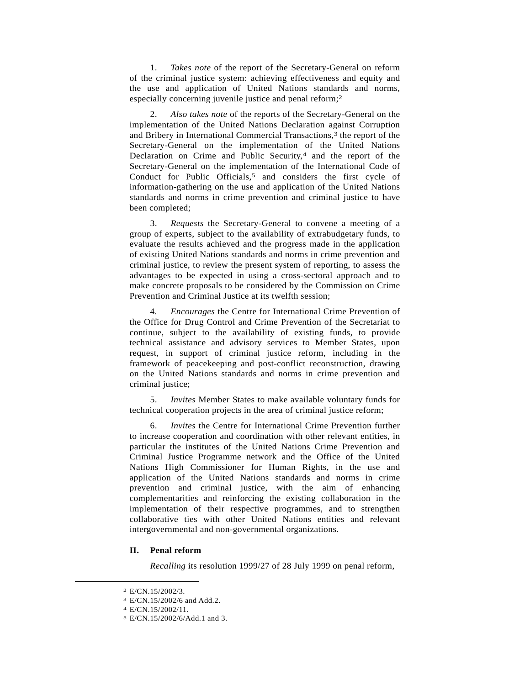1. *Takes note* of the report of the Secretary-General on reform of the criminal justice system: achieving effectiveness and equity and the use and application of United Nations standards and norms, especially concerning juvenile justice and penal reform;2

 2. *Also takes note* of the reports of the Secretary-General on the implementation of the United Nations Declaration against Corruption and Bribery in International Commercial Transactions,<sup>3</sup> the report of the Secretary-General on the implementation of the United Nations Declaration on Crime and Public Security,<sup>4</sup> and the report of the Secretary-General on the implementation of the International Code of Conduct for Public Officials,<sup>5</sup> and considers the first cycle of information-gathering on the use and application of the United Nations standards and norms in crime prevention and criminal justice to have been completed;

 3. *Requests* the Secretary-General to convene a meeting of a group of experts, subject to the availability of extrabudgetary funds, to evaluate the results achieved and the progress made in the application of existing United Nations standards and norms in crime prevention and criminal justice, to review the present system of reporting, to assess the advantages to be expected in using a cross-sectoral approach and to make concrete proposals to be considered by the Commission on Crime Prevention and Criminal Justice at its twelfth session;

 4. *Encourages* the Centre for International Crime Prevention of the Office for Drug Control and Crime Prevention of the Secretariat to continue, subject to the availability of existing funds, to provide technical assistance and advisory services to Member States, upon request, in support of criminal justice reform, including in the framework of peacekeeping and post-conflict reconstruction, drawing on the United Nations standards and norms in crime prevention and criminal justice;

 5. *Invites* Member States to make available voluntary funds for technical cooperation projects in the area of criminal justice reform;

 6. *Invites* the Centre for International Crime Prevention further to increase cooperation and coordination with other relevant entities, in particular the institutes of the United Nations Crime Prevention and Criminal Justice Programme network and the Office of the United Nations High Commissioner for Human Rights, in the use and application of the United Nations standards and norms in crime prevention and criminal justice, with the aim of enhancing complementarities and reinforcing the existing collaboration in the implementation of their respective programmes, and to strengthen collaborative ties with other United Nations entities and relevant intergovernmental and non-governmental organizations.

### **II. Penal reform**

*Recalling* its resolution 1999/27 of 28 July 1999 on penal reform,

 <sup>2</sup> E/CN.15/2002/3.

<sup>3</sup> E/CN.15/2002/6 and Add.2.

<sup>4</sup> E/CN.15/2002/11.

<sup>5</sup> E/CN.15/2002/6/Add.1 and 3.